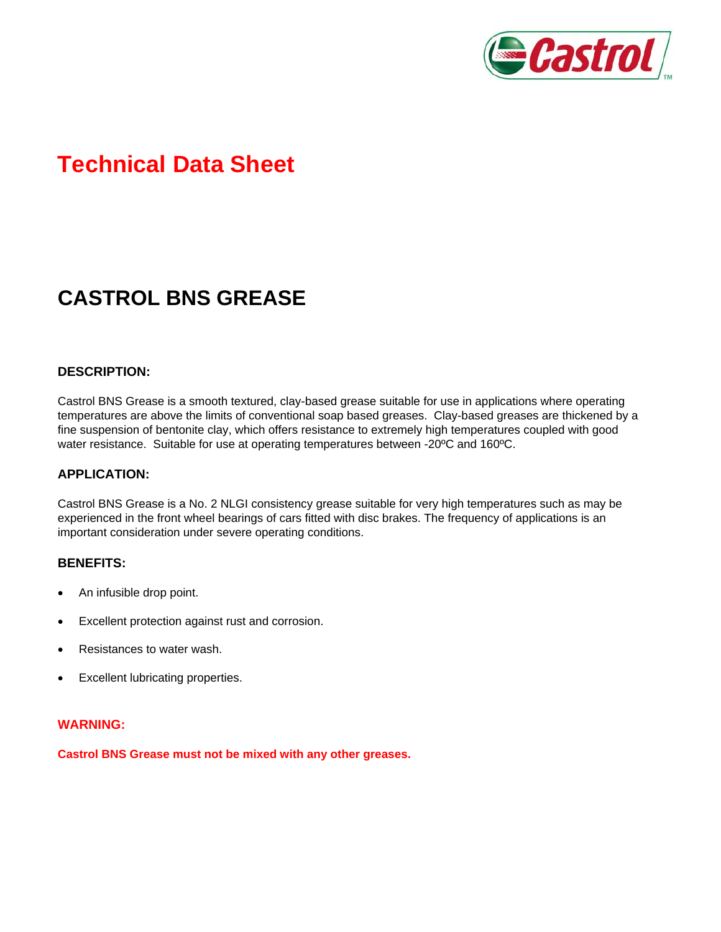

# **Technical Data Sheet**

# **CASTROL BNS GREASE**

### **DESCRIPTION:**

Castrol BNS Grease is a smooth textured, clay-based grease suitable for use in applications where operating temperatures are above the limits of conventional soap based greases. Clay-based greases are thickened by a fine suspension of bentonite clay, which offers resistance to extremely high temperatures coupled with good water resistance. Suitable for use at operating temperatures between -20ºC and 160ºC.

### **APPLICATION:**

Castrol BNS Grease is a No. 2 NLGI consistency grease suitable for very high temperatures such as may be experienced in the front wheel bearings of cars fitted with disc brakes. The frequency of applications is an important consideration under severe operating conditions.

#### **BENEFITS:**

- An infusible drop point.
- Excellent protection against rust and corrosion.
- Resistances to water wash.
- Excellent lubricating properties.

#### **WARNING:**

**Castrol BNS Grease must not be mixed with any other greases.**